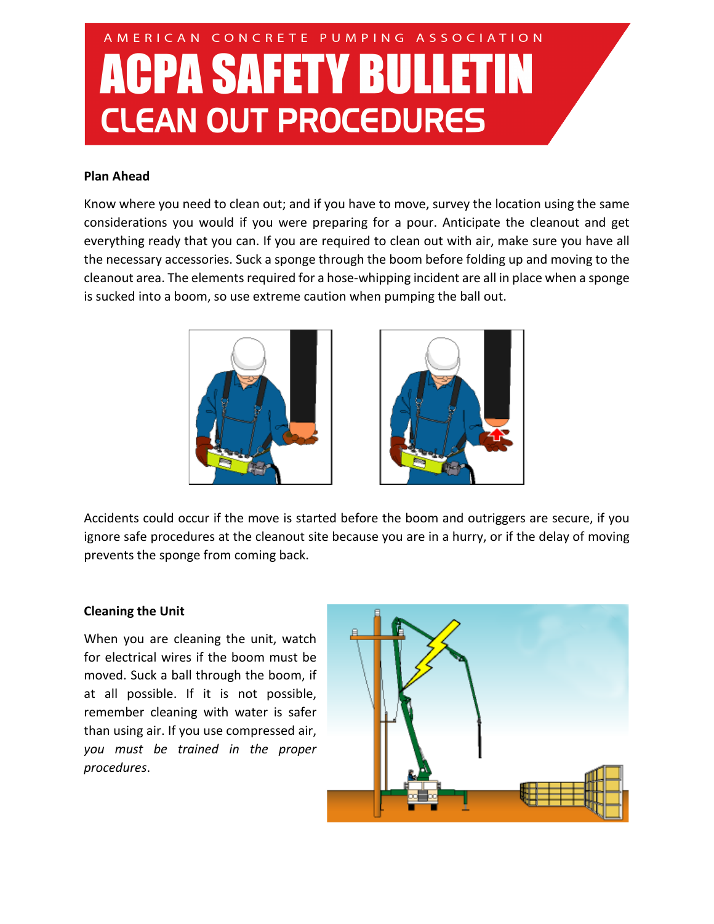# AMERICAN CONCRETE PUMPING ASSOCIATION **ACPA SAFETY BULLETIN CLEAN OUT PROCEDURES**

### **Plan Ahead**

Know where you need to clean out; and if you have to move, survey the location using the same considerations you would if you were preparing for a pour. Anticipate the cleanout and get everything ready that you can. If you are required to clean out with air, make sure you have all the necessary accessories. Suck a sponge through the boom before folding up and moving to the cleanout area. The elements required for a hose-whipping incident are all in place when a sponge is sucked into a boom, so use extreme caution when pumping the ball out.





Accidents could occur if the move is started before the boom and outriggers are secure, if you ignore safe procedures at the cleanout site because you are in a hurry, or if the delay of moving prevents the sponge from coming back.

#### **Cleaning the Unit**

When you are cleaning the unit, watch for electrical wires if the boom must be moved. Suck a ball through the boom, if at all possible. If it is not possible, remember cleaning with water is safer than using air. If you use compressed air, *you must be trained in the proper procedures*.

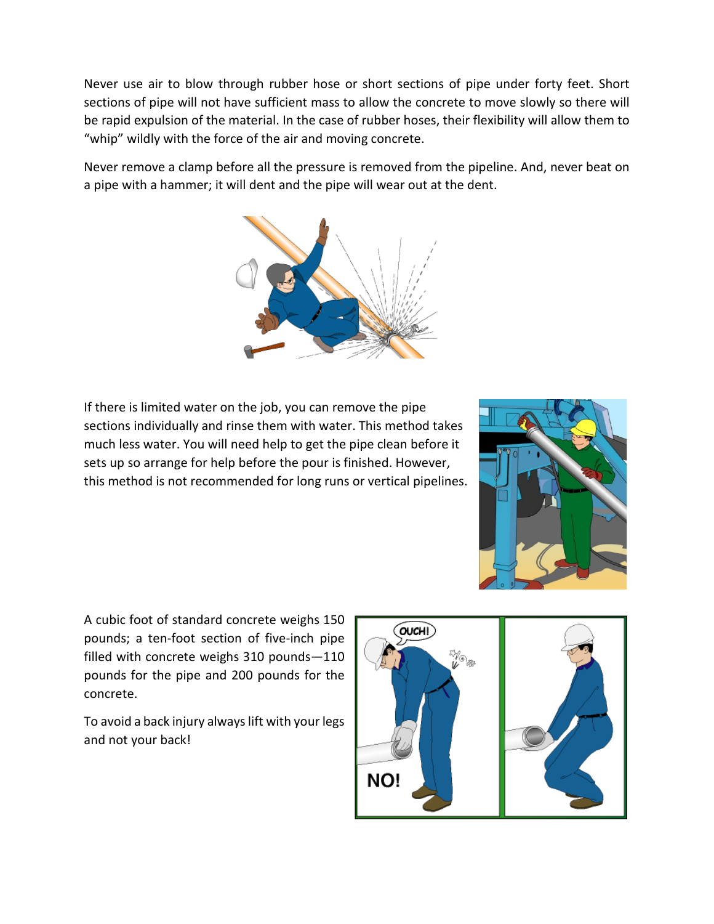Never use air to blow through rubber hose or short sections of pipe under forty feet. Short sections of pipe will not have sufficient mass to allow the concrete to move slowly so there will be rapid expulsion of the material. In the case of rubber hoses, their flexibility will allow them to "whip" wildly with the force of the air and moving concrete.

Never remove a clamp before all the pressure is removed from the pipeline. And, never beat on a pipe with a hammer; it will dent and the pipe will wear out at the dent.



If there is limited water on the job, you can remove the pipe sections individually and rinse them with water. This method takes much less water. You will need help to get the pipe clean before it sets up so arrange for help before the pour is finished. However, this method is not recommended for long runs or vertical pipelines.



A cubic foot of standard concrete weighs 150 pounds; a ten-foot section of five-inch pipe filled with concrete weighs 310 pounds—110 pounds for the pipe and 200 pounds for the concrete.

To avoid a back injury always lift with your legs and not your back!

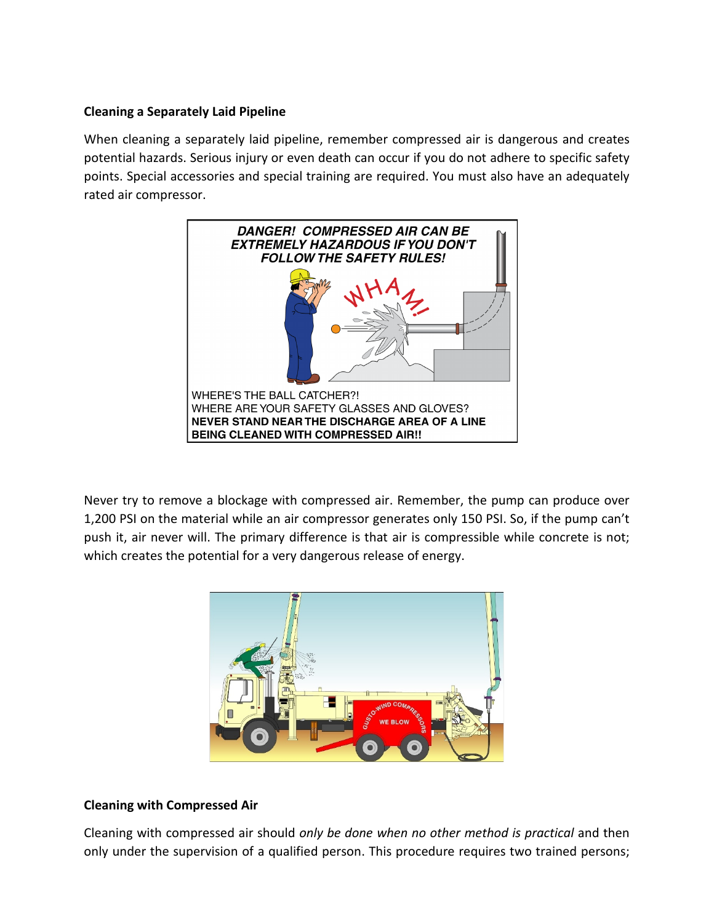### **Cleaning a Separately Laid Pipeline**

When cleaning a separately laid pipeline, remember compressed air is dangerous and creates potential hazards. Serious injury or even death can occur if you do not adhere to specific safety points. Special accessories and special training are required. You must also have an adequately rated air compressor.



Never try to remove a blockage with compressed air. Remember, the pump can produce over 1,200 PSI on the material while an air compressor generates only 150 PSI. So, if the pump can't push it, air never will. The primary difference is that air is compressible while concrete is not; which creates the potential for a very dangerous release of energy.



# **Cleaning with Compressed Air**

Cleaning with compressed air should *only be done when no other method is practical* and then only under the supervision of a qualified person. This procedure requires two trained persons;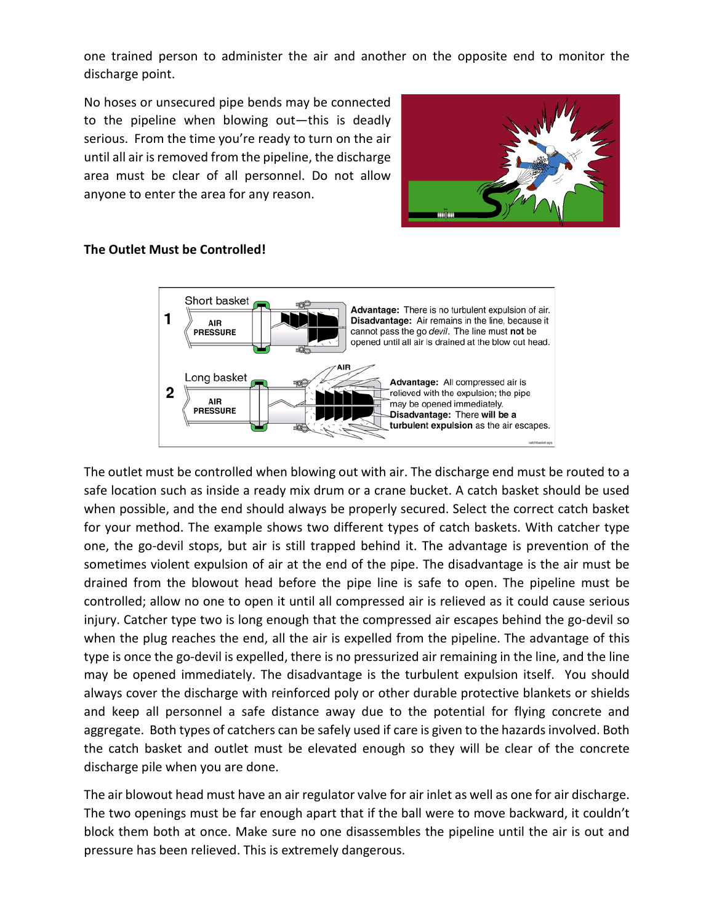one trained person to administer the air and another on the opposite end to monitor the discharge point.

No hoses or unsecured pipe bends may be connected to the pipeline when blowing out—this is deadly serious. From the time you're ready to turn on the air until all air is removed from the pipeline, the discharge area must be clear of all personnel. Do not allow anyone to enter the area for any reason.





# **The Outlet Must be Controlled!**

The outlet must be controlled when blowing out with air. The discharge end must be routed to a safe location such as inside a ready mix drum or a crane bucket. A catch basket should be used when possible, and the end should always be properly secured. Select the correct catch basket for your method. The example shows two different types of catch baskets. With catcher type one, the go-devil stops, but air is still trapped behind it. The advantage is prevention of the sometimes violent expulsion of air at the end of the pipe. The disadvantage is the air must be drained from the blowout head before the pipe line is safe to open. The pipeline must be controlled; allow no one to open it until all compressed air is relieved as it could cause serious injury. Catcher type two is long enough that the compressed air escapes behind the go-devil so when the plug reaches the end, all the air is expelled from the pipeline. The advantage of this type is once the go-devil is expelled, there is no pressurized air remaining in the line, and the line may be opened immediately. The disadvantage is the turbulent expulsion itself. You should always cover the discharge with reinforced poly or other durable protective blankets or shields and keep all personnel a safe distance away due to the potential for flying concrete and aggregate. Both types of catchers can be safely used if care is given to the hazards involved. Both the catch basket and outlet must be elevated enough so they will be clear of the concrete discharge pile when you are done.

The air blowout head must have an air regulator valve for air inlet as well as one for air discharge. The two openings must be far enough apart that if the ball were to move backward, it couldn't block them both at once. Make sure no one disassembles the pipeline until the air is out and pressure has been relieved. This is extremely dangerous.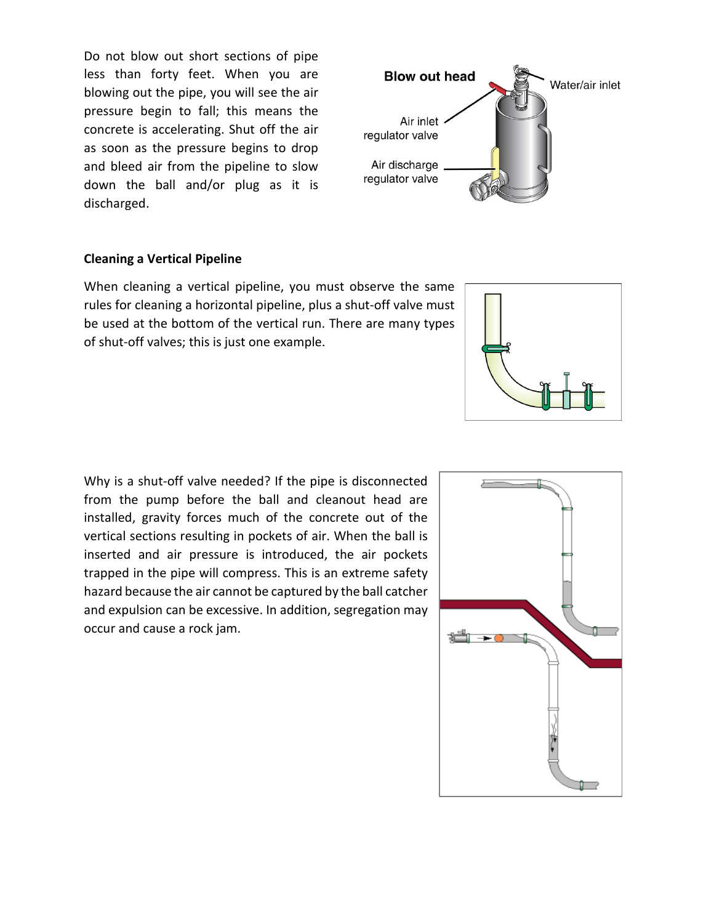Do not blow out short sections of pipe less than forty feet. When you are blowing out the pipe, you will see the air pressure begin to fall; this means the concrete is accelerating. Shut off the air as soon as the pressure begins to drop and bleed air from the pipeline to slow down the ball and/or plug as it is discharged.



#### **Cleaning a Vertical Pipeline**

When cleaning a vertical pipeline, you must observe the same rules for cleaning a horizontal pipeline, plus a shut-off valve must be used at the bottom of the vertical run. There are many types of shut-off valves; this is just one example.

Why is a shut-off valve needed? If the pipe is disconnected from the pump before the ball and cleanout head are installed, gravity forces much of the concrete out of the vertical sections resulting in pockets of air. When the ball is inserted and air pressure is introduced, the air pockets trapped in the pipe will compress. This is an extreme safety hazard because the air cannot be captured by the ball catcher and expulsion can be excessive. In addition, segregation may occur and cause a rock jam.